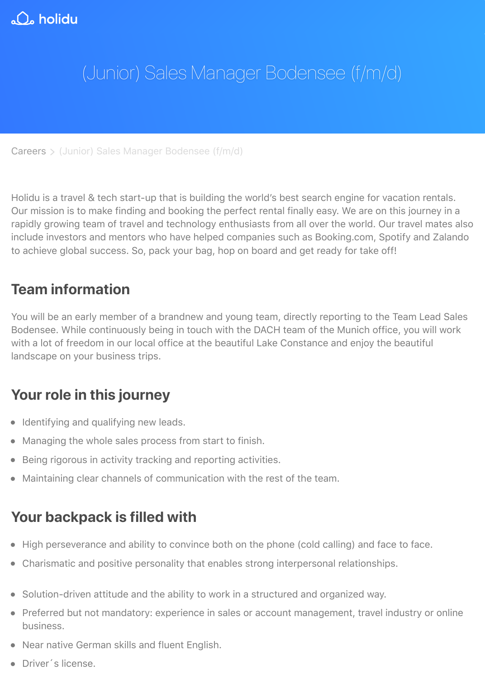Holidu is a travel & tech start-up that is building the world's best search engine for vacation in Our mission is to make finding and booking the perfect rental finally easy. We are on this jour rapidly growing team of travel and technology enthusiasts from all over the world. Our travel include investors and mentors who have helped companies such as Booking.com, Spotify an to achieve global success. So, pack your bag, hop on board and get ready for take off!

## **[Team](https://www.holidu.de/careers) information**

You will be an early member of a brandnew and young team, directly reporting to the Team L Bodensee. While continuously being in touch with the DACH team of the Munich office, you will with a lot of freedom in our local office at the beautiful Lake Constance and enjoy the beautif landscape on your business trips.

## **Your role in this journey**

- Identifying and qualifying new leads.
- Managing the whole sales process from start to finish.
- Being rigorous in activity tracking and reporting activities.
- Maintaining clear channels of communication with the rest of the team.

## **Your backpack is filled with**

- High perseverance and ability to convince both on the phone (cold calling) and face to face.
- Charismatic and positive personality that enables strong interpersonal relationships.
- Solution-driven attitude and the ability to work in a structured and organized way.
- Preferred but not mandatory: experience in sales or account management, travel industry business.
- Near native German skills and fluent English.
- Driver's license.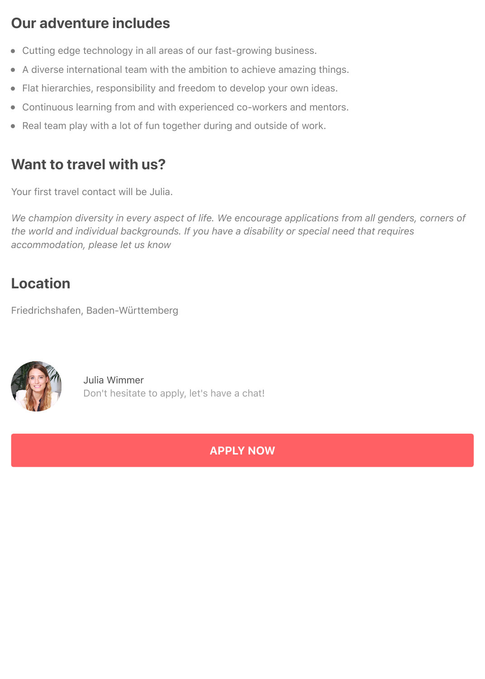# **Our adventure includes**

- Cutting edge technology in all areas of our fast-growing business.
- A diverse international team with the ambition to achieve amazing things.
- Flat hierarchies, responsibility and freedom to develop your own ideas.
- Continuous learning from and with experienced co-workers and mentors.
- Real team play with a lot of fun together during and outside of work.

# **Want to travel with us?**

Your first travel contact will be Julia.

*We champion diversity in every aspect of life. We encourage applications from all genders, corners of the world and individual backgrounds. If you have a disability or special need that requires accommodation, please let us know*

# **Location**

Friedrichshafen, Baden-Württemberg



Julia Wimmer Don't hesitate to apply, let's have a chat!

**APPLY NOW**